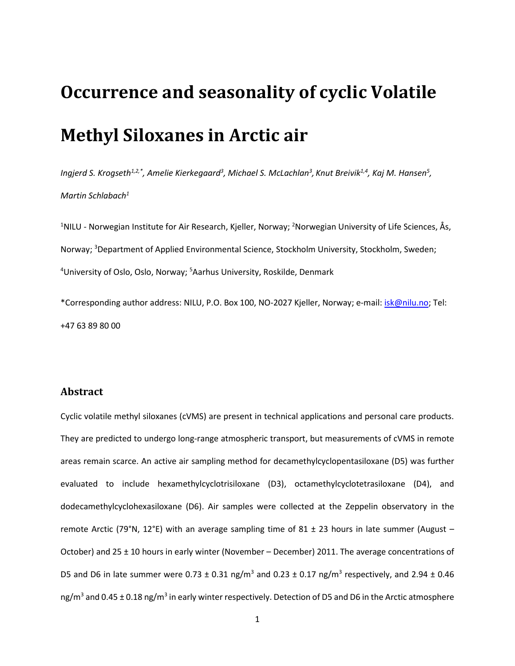# **Occurrence and seasonality of cyclic Volatile Methyl Siloxanes in Arctic air**

*Ingjerd S. Krogseth1,2,\* , Amelie Kierkegaard<sup>3</sup> , Michael S. McLachlan<sup>3</sup> , Knut Breivik1,4 , Kaj M. Hansen<sup>5</sup> , Martin Schlabach<sup>1</sup>*

<sup>1</sup>NILU - Norwegian Institute for Air Research, Kjeller, Norway; <sup>2</sup>Norwegian University of Life Sciences, Ås, Norway; <sup>3</sup>Department of Applied Environmental Science, Stockholm University, Stockholm, Sweden; <sup>4</sup>University of Oslo, Oslo, Norway; <sup>5</sup>Aarhus University, Roskilde, Denmark

\*Corresponding author address: NILU, P.O. Box 100, NO-2027 Kjeller, Norway; e-mail: [isk@nilu.no;](mailto:isk@nilu.no) Tel: +47 63 89 80 00

## **Abstract**

Cyclic volatile methyl siloxanes (cVMS) are present in technical applications and personal care products. They are predicted to undergo long-range atmospheric transport, but measurements of cVMS in remote areas remain scarce. An active air sampling method for decamethylcyclopentasiloxane (D5) was further evaluated to include hexamethylcyclotrisiloxane (D3), octamethylcyclotetrasiloxane (D4), and dodecamethylcyclohexasiloxane (D6). Air samples were collected at the Zeppelin observatory in the remote Arctic (79°N, 12°E) with an average sampling time of 81  $\pm$  23 hours in late summer (August – October) and 25 ± 10 hours in early winter (November – December) 2011. The average concentrations of D5 and D6 in late summer were 0.73  $\pm$  0.31 ng/m<sup>3</sup> and 0.23  $\pm$  0.17 ng/m<sup>3</sup> respectively, and 2.94  $\pm$  0.46 ng/m<sup>3</sup> and 0.45 ± 0.18 ng/m<sup>3</sup> in early winter respectively. Detection of D5 and D6 in the Arctic atmosphere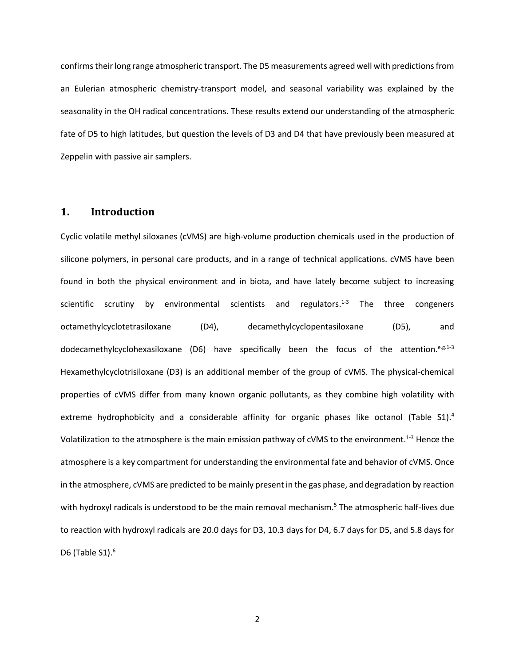confirms their long range atmospheric transport. The D5 measurements agreed well with predictions from an Eulerian atmospheric chemistry-transport model, and seasonal variability was explained by the seasonality in the OH radical concentrations. These results extend our understanding of the atmospheric fate of D5 to high latitudes, but question the levels of D3 and D4 that have previously been measured at Zeppelin with passive air samplers.

## **1. Introduction**

Cyclic volatile methyl siloxanes (cVMS) are high-volume production chemicals used in the production of silicone polymers, in personal care products, and in a range of technical applications. cVMS have been found in both the physical environment and in biota, and have lately become subject to increasing scientific scrutiny by environmental scientists and regulators. $1-3$  The three congeners octamethylcyclotetrasiloxane (D4), decamethylcyclopentasiloxane (D5), and dodecamethylcyclohexasiloxane (D6) have specifically been the focus of the attention.<sup>e.g.1-3</sup> Hexamethylcyclotrisiloxane (D3) is an additional member of the group of cVMS. The physical-chemical properties of cVMS differ from many known organic pollutants, as they combine high volatility with extreme hydrophobicity and a considerable affinity for organic phases like octanol (Table S1).<sup>4</sup> Volatilization to the atmosphere is the main emission pathway of cVMS to the environment.<sup>1-3</sup> Hence the atmosphere is a key compartment for understanding the environmental fate and behavior of cVMS. Once in the atmosphere, cVMS are predicted to be mainly present in the gas phase, and degradation by reaction with hydroxyl radicals is understood to be the main removal mechanism.<sup>5</sup> The atmospheric half-lives due to reaction with hydroxyl radicals are 20.0 days for D3, 10.3 days for D4, 6.7 days for D5, and 5.8 days for D6 (Table  $S1$ ).<sup>6</sup>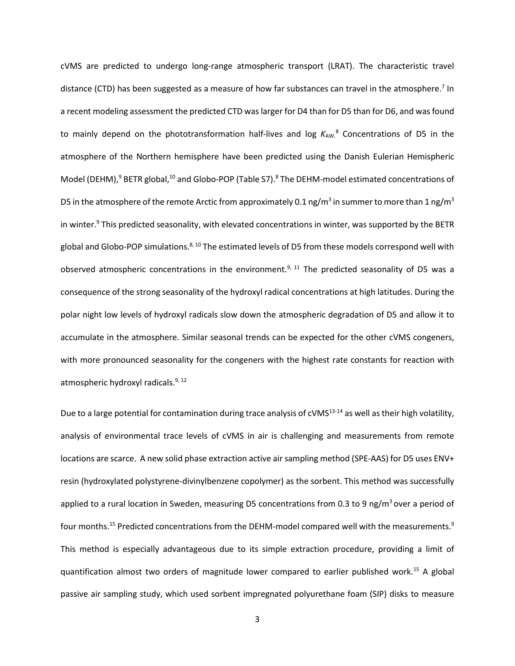cVMS are predicted to undergo long-range atmospheric transport (LRAT). The characteristic travel distance (CTD) has been suggested as a measure of how far substances can travel in the atmosphere.<sup>7</sup> In a recent modeling assessment the predicted CTD was larger for D4 than for D5 than for D6, and was found to mainly depend on the phototransformation half-lives and log  $K_{AW}$ <sup>8</sup> Concentrations of D5 in the atmosphere of the Northern hemisphere have been predicted using the Danish Eulerian Hemispheric Model (DEHM),<sup>9</sup> BETR global,<sup>10</sup> and Globo-POP (Table S7).<sup>8</sup> The DEHM-model estimated concentrations of D5 in the atmosphere of the remote Arctic from approximately 0.1 ng/m<sup>3</sup> in summer to more than 1 ng/m<sup>3</sup> in winter.<sup>9</sup> This predicted seasonality, with elevated concentrations in winter, was supported by the BETR global and Globo-POP simulations.<sup>8, 10</sup> The estimated levels of D5 from these models correspond well with observed atmospheric concentrations in the environment.<sup>9, 11</sup> The predicted seasonality of D5 was a consequence of the strong seasonality of the hydroxyl radical concentrations at high latitudes. During the polar night low levels of hydroxyl radicals slow down the atmospheric degradation of D5 and allow it to accumulate in the atmosphere. Similar seasonal trends can be expected for the other cVMS congeners, with more pronounced seasonality for the congeners with the highest rate constants for reaction with atmospheric hydroxyl radicals.<sup>9, 12</sup>

Due to a large potential for contamination during trace analysis of cVMS $^{13\text{-}14}$  as well as their high volatility, analysis of environmental trace levels of cVMS in air is challenging and measurements from remote locations are scarce. A new solid phase extraction active air sampling method (SPE-AAS) for D5 uses ENV+ resin (hydroxylated polystyrene-divinylbenzene copolymer) as the sorbent. This method was successfully applied to a rural location in Sweden, measuring D5 concentrations from 0.3 to 9 ng/m<sup>3</sup> over a period of four months.<sup>15</sup> Predicted concentrations from the DEHM-model compared well with the measurements.<sup>9</sup> This method is especially advantageous due to its simple extraction procedure, providing a limit of quantification almost two orders of magnitude lower compared to earlier published work. <sup>15</sup> A global passive air sampling study, which used sorbent impregnated polyurethane foam (SIP) disks to measure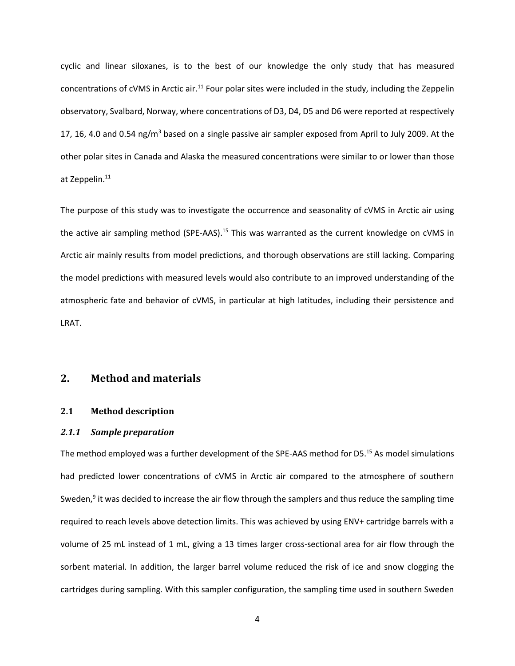cyclic and linear siloxanes, is to the best of our knowledge the only study that has measured concentrations of cVMS in Arctic air.<sup>11</sup> Four polar sites were included in the study, including the Zeppelin observatory, Svalbard, Norway, where concentrations of D3, D4, D5 and D6 were reported at respectively 17, 16, 4.0 and 0.54 ng/m<sup>3</sup> based on a single passive air sampler exposed from April to July 2009. At the other polar sites in Canada and Alaska the measured concentrations were similar to or lower than those at Zeppelin.<sup>11</sup>

The purpose of this study was to investigate the occurrence and seasonality of cVMS in Arctic air using the active air sampling method (SPE-AAS).<sup>15</sup> This was warranted as the current knowledge on cVMS in Arctic air mainly results from model predictions, and thorough observations are still lacking. Comparing the model predictions with measured levels would also contribute to an improved understanding of the atmospheric fate and behavior of cVMS, in particular at high latitudes, including their persistence and LRAT.

## **2. Method and materials**

## **2.1 Method description**

## *2.1.1 Sample preparation*

The method employed was a further development of the SPE-AAS method for D5. <sup>15</sup> As model simulations had predicted lower concentrations of cVMS in Arctic air compared to the atmosphere of southern Sweden,<sup>9</sup> it was decided to increase the air flow through the samplers and thus reduce the sampling time required to reach levels above detection limits. This was achieved by using ENV+ cartridge barrels with a volume of 25 mL instead of 1 mL, giving a 13 times larger cross-sectional area for air flow through the sorbent material. In addition, the larger barrel volume reduced the risk of ice and snow clogging the cartridges during sampling. With this sampler configuration, the sampling time used in southern Sweden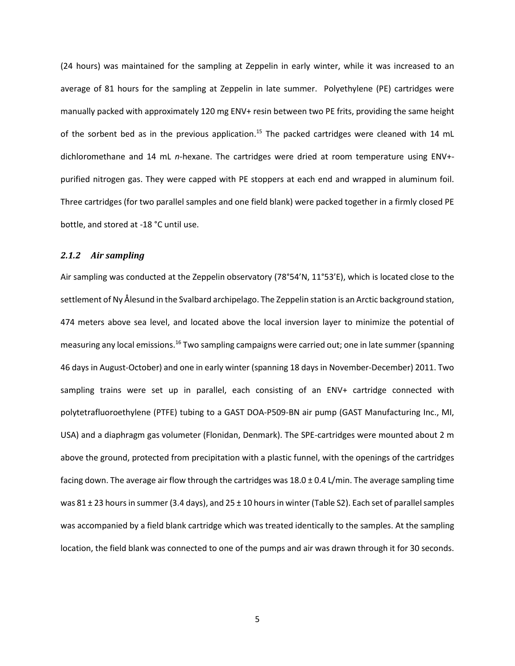(24 hours) was maintained for the sampling at Zeppelin in early winter, while it was increased to an average of 81 hours for the sampling at Zeppelin in late summer. Polyethylene (PE) cartridges were manually packed with approximately 120 mg ENV+ resin between two PE frits, providing the same height of the sorbent bed as in the previous application.<sup>15</sup> The packed cartridges were cleaned with 14 mL dichloromethane and 14 mL *n*-hexane. The cartridges were dried at room temperature using ENV+ purified nitrogen gas. They were capped with PE stoppers at each end and wrapped in aluminum foil. Three cartridges (for two parallel samples and one field blank) were packed together in a firmly closed PE bottle, and stored at -18 °C until use.

## *2.1.2 Air sampling*

Air sampling was conducted at the Zeppelin observatory (78°54'N, 11°53'E), which is located close to the settlement of Ny Ålesund in the Svalbard archipelago. The Zeppelin station is an Arctic background station, 474 meters above sea level, and located above the local inversion layer to minimize the potential of measuring any local emissions.<sup>16</sup> Two sampling campaigns were carried out; one in late summer (spanning 46 days in August-October) and one in early winter (spanning 18 days in November-December) 2011. Two sampling trains were set up in parallel, each consisting of an ENV+ cartridge connected with polytetrafluoroethylene (PTFE) tubing to a GAST DOA-P509-BN air pump (GAST Manufacturing Inc., MI, USA) and a diaphragm gas volumeter (Flonidan, Denmark). The SPE-cartridges were mounted about 2 m above the ground, protected from precipitation with a plastic funnel, with the openings of the cartridges facing down. The average air flow through the cartridges was  $18.0 \pm 0.4$  L/min. The average sampling time was  $81 \pm 23$  hours in summer (3.4 days), and  $25 \pm 10$  hours in winter (Table S2). Each set of parallel samples was accompanied by a field blank cartridge which was treated identically to the samples. At the sampling location, the field blank was connected to one of the pumps and air was drawn through it for 30 seconds.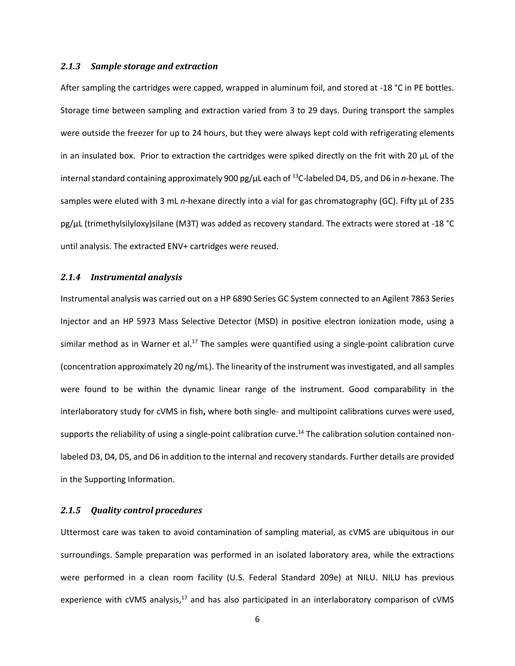#### *2.1.3 Sample storage and extraction*

After sampling the cartridges were capped, wrapped in aluminum foil, and stored at -18 °C in PE bottles. Storage time between sampling and extraction varied from 3 to 29 days. During transport the samples were outside the freezer for up to 24 hours, but they were always kept cold with refrigerating elements in an insulated box. Prior to extraction the cartridges were spiked directly on the frit with 20  $\mu$ L of the internal standard containing approximately 900 pg/µL each of <sup>13</sup>C-labeled D4, D5, and D6 in *n*-hexane. The samples were eluted with 3 mL *n*-hexane directly into a vial for gas chromatography (GC). Fifty µL of 235 pg/µL (trimethylsilyloxy)silane (M3T) was added as recovery standard. The extracts were stored at -18 °C until analysis. The extracted ENV+ cartridges were reused.

## *2.1.4 Instrumental analysis*

Instrumental analysis was carried out on a HP 6890 Series GC System connected to an Agilent 7863 Series Injector and an HP 5973 Mass Selective Detector (MSD) in positive electron ionization mode, using a similar method as in Warner et al.<sup>17</sup> The samples were quantified using a single-point calibration curve (concentration approximately 20 ng/mL). The linearity of the instrument was investigated, and all samples were found to be within the dynamic linear range of the instrument. Good comparability in the interlaboratory study for cVMS in fish**,** where both single- and multipoint calibrations curves were used, supports the reliability of using a single-point calibration curve.<sup>14</sup> The calibration solution contained nonlabeled D3, D4, D5, and D6 in addition to the internal and recovery standards. Further details are provided in the Supporting Information.

## *2.1.5 Quality control procedures*

Uttermost care was taken to avoid contamination of sampling material, as cVMS are ubiquitous in our surroundings. Sample preparation was performed in an isolated laboratory area, while the extractions were performed in a clean room facility (U.S. Federal Standard 209e) at NILU. NILU has previous experience with cVMS analysis,<sup>17</sup> and has also participated in an interlaboratory comparison of cVMS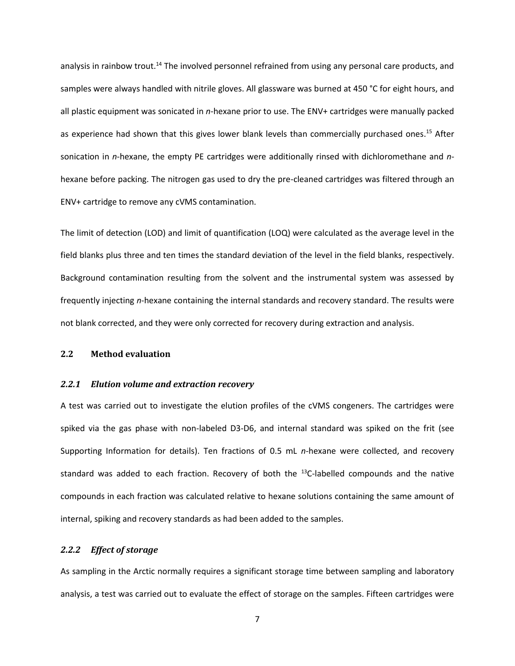analysis in rainbow trout.<sup>14</sup> The involved personnel refrained from using any personal care products, and samples were always handled with nitrile gloves. All glassware was burned at 450 °C for eight hours, and all plastic equipment was sonicated in *n*-hexane prior to use. The ENV+ cartridges were manually packed as experience had shown that this gives lower blank levels than commercially purchased ones.<sup>15</sup> After sonication in *n*-hexane, the empty PE cartridges were additionally rinsed with dichloromethane and *n*hexane before packing. The nitrogen gas used to dry the pre-cleaned cartridges was filtered through an ENV+ cartridge to remove any cVMS contamination.

The limit of detection (LOD) and limit of quantification (LOQ) were calculated as the average level in the field blanks plus three and ten times the standard deviation of the level in the field blanks, respectively. Background contamination resulting from the solvent and the instrumental system was assessed by frequently injecting *n*-hexane containing the internal standards and recovery standard. The results were not blank corrected, and they were only corrected for recovery during extraction and analysis.

## **2.2 Method evaluation**

#### *2.2.1 Elution volume and extraction recovery*

A test was carried out to investigate the elution profiles of the cVMS congeners. The cartridges were spiked via the gas phase with non-labeled D3-D6, and internal standard was spiked on the frit (see Supporting Information for details). Ten fractions of 0.5 mL *n*-hexane were collected, and recovery standard was added to each fraction. Recovery of both the  $^{13}$ C-labelled compounds and the native compounds in each fraction was calculated relative to hexane solutions containing the same amount of internal, spiking and recovery standards as had been added to the samples.

## *2.2.2 Effect of storage*

As sampling in the Arctic normally requires a significant storage time between sampling and laboratory analysis, a test was carried out to evaluate the effect of storage on the samples. Fifteen cartridges were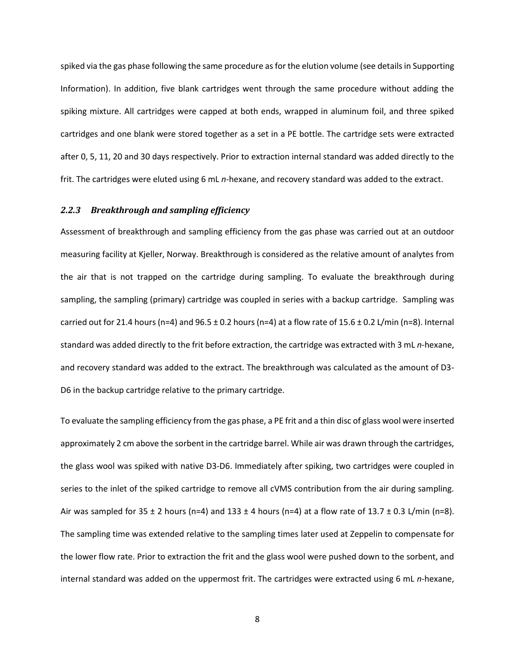spiked via the gas phase following the same procedure as for the elution volume (see details in Supporting Information). In addition, five blank cartridges went through the same procedure without adding the spiking mixture. All cartridges were capped at both ends, wrapped in aluminum foil, and three spiked cartridges and one blank were stored together as a set in a PE bottle. The cartridge sets were extracted after 0, 5, 11, 20 and 30 days respectively. Prior to extraction internal standard was added directly to the frit. The cartridges were eluted using 6 mL *n*-hexane, and recovery standard was added to the extract.

### *2.2.3 Breakthrough and sampling efficiency*

Assessment of breakthrough and sampling efficiency from the gas phase was carried out at an outdoor measuring facility at Kjeller, Norway. Breakthrough is considered as the relative amount of analytes from the air that is not trapped on the cartridge during sampling. To evaluate the breakthrough during sampling, the sampling (primary) cartridge was coupled in series with a backup cartridge. Sampling was carried out for 21.4 hours (n=4) and  $96.5 \pm 0.2$  hours (n=4) at a flow rate of 15.6  $\pm$  0.2 L/min (n=8). Internal standard was added directly to the frit before extraction, the cartridge was extracted with 3 mL *n*-hexane, and recovery standard was added to the extract. The breakthrough was calculated as the amount of D3- D6 in the backup cartridge relative to the primary cartridge.

To evaluate the sampling efficiency from the gas phase, a PE frit and a thin disc of glass wool were inserted approximately 2 cm above the sorbent in the cartridge barrel. While air was drawn through the cartridges, the glass wool was spiked with native D3-D6. Immediately after spiking, two cartridges were coupled in series to the inlet of the spiked cartridge to remove all cVMS contribution from the air during sampling. Air was sampled for  $35 \pm 2$  hours (n=4) and  $133 \pm 4$  hours (n=4) at a flow rate of  $13.7 \pm 0.3$  L/min (n=8). The sampling time was extended relative to the sampling times later used at Zeppelin to compensate for the lower flow rate. Prior to extraction the frit and the glass wool were pushed down to the sorbent, and internal standard was added on the uppermost frit. The cartridges were extracted using 6 mL *n*-hexane,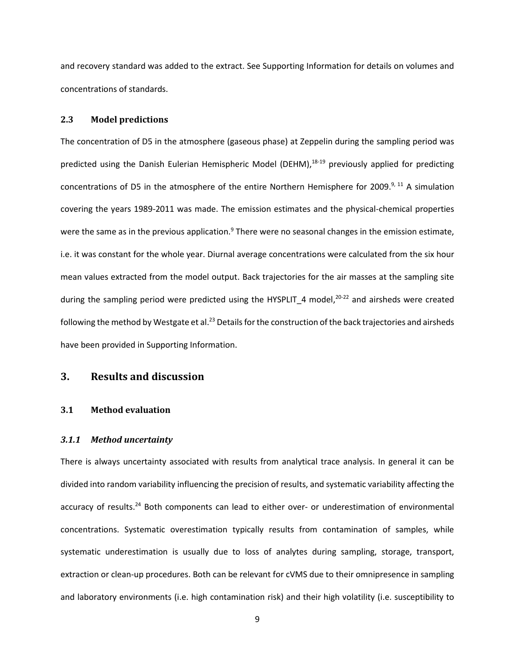and recovery standard was added to the extract. See Supporting Information for details on volumes and concentrations of standards.

## **2.3 Model predictions**

The concentration of D5 in the atmosphere (gaseous phase) at Zeppelin during the sampling period was predicted using the Danish Eulerian Hemispheric Model (DEHM), 18-19 previously applied for predicting concentrations of D5 in the atmosphere of the entire Northern Hemisphere for 2009.<sup>9, 11</sup> A simulation covering the years 1989-2011 was made. The emission estimates and the physical-chemical properties were the same as in the previous application. $9$  There were no seasonal changes in the emission estimate, i.e. it was constant for the whole year. Diurnal average concentrations were calculated from the six hour mean values extracted from the model output. Back trajectories for the air masses at the sampling site during the sampling period were predicted using the HYSPLIT\_4 model,<sup>20-22</sup> and airsheds were created following the method by Westgate et al.<sup>23</sup> Details for the construction of the back trajectories and airsheds have been provided in Supporting Information.

## **3. Results and discussion**

## **3.1 Method evaluation**

#### *3.1.1 Method uncertainty*

There is always uncertainty associated with results from analytical trace analysis. In general it can be divided into random variability influencing the precision of results, and systematic variability affecting the accuracy of results.<sup>24</sup> Both components can lead to either over- or underestimation of environmental concentrations. Systematic overestimation typically results from contamination of samples, while systematic underestimation is usually due to loss of analytes during sampling, storage, transport, extraction or clean-up procedures. Both can be relevant for cVMS due to their omnipresence in sampling and laboratory environments (i.e. high contamination risk) and their high volatility (i.e. susceptibility to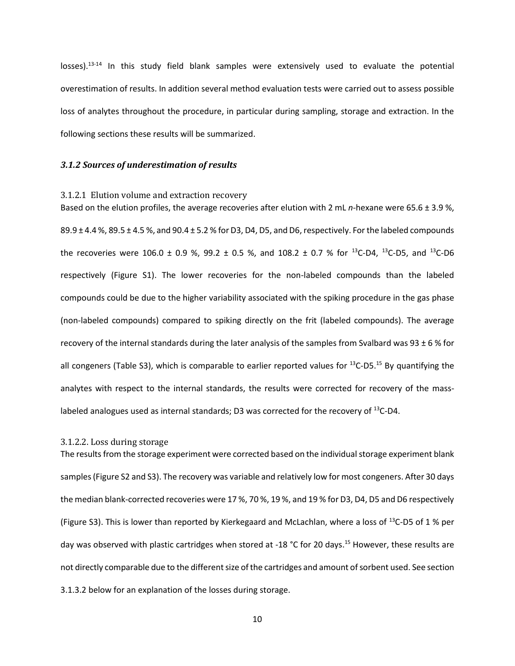losses).<sup>13-14</sup> In this study field blank samples were extensively used to evaluate the potential overestimation of results. In addition several method evaluation tests were carried out to assess possible loss of analytes throughout the procedure, in particular during sampling, storage and extraction. In the following sections these results will be summarized.

#### *3.1.2 Sources of underestimation of results*

#### 3.1.2.1 Elution volume and extraction recovery

Based on the elution profiles, the average recoveries after elution with 2 mL *n*-hexane were 65.6 ± 3.9 %,  $89.9 \pm 4.4$  %,  $89.5 \pm 4.5$  %, and  $90.4 \pm 5.2$  % for D3, D4, D5, and D6, respectively. For the labeled compounds the recoveries were 106.0  $\pm$  0.9 %, 99.2  $\pm$  0.5 %, and 108.2  $\pm$  0.7 % for <sup>13</sup>C-D4, <sup>13</sup>C-D5, and <sup>13</sup>C-D6 respectively (Figure S1). The lower recoveries for the non-labeled compounds than the labeled compounds could be due to the higher variability associated with the spiking procedure in the gas phase (non-labeled compounds) compared to spiking directly on the frit (labeled compounds). The average recovery of the internal standards during the later analysis of the samples from Svalbard was 93  $\pm$  6 % for all congeners (Table S3), which is comparable to earlier reported values for <sup>13</sup>C-D5.<sup>15</sup> By quantifying the analytes with respect to the internal standards, the results were corrected for recovery of the masslabeled analogues used as internal standards; D3 was corrected for the recovery of  $^{13}$ C-D4.

#### 3.1.2.2. Loss during storage

The results from the storage experiment were corrected based on the individual storage experiment blank samples(Figure S2 and S3). The recovery was variable and relatively low for most congeners. After 30 days the median blank-corrected recoveries were 17 %, 70 %, 19 %, and 19 % for D3, D4, D5 and D6 respectively (Figure S3). This is lower than reported by Kierkegaard and McLachlan, where a loss of <sup>13</sup>C-D5 of 1 % per day was observed with plastic cartridges when stored at -18 °C for 20 days.<sup>15</sup> However, these results are not directly comparable due to the different size of the cartridges and amount of sorbent used. See section 3.1.3.2 below for an explanation of the losses during storage.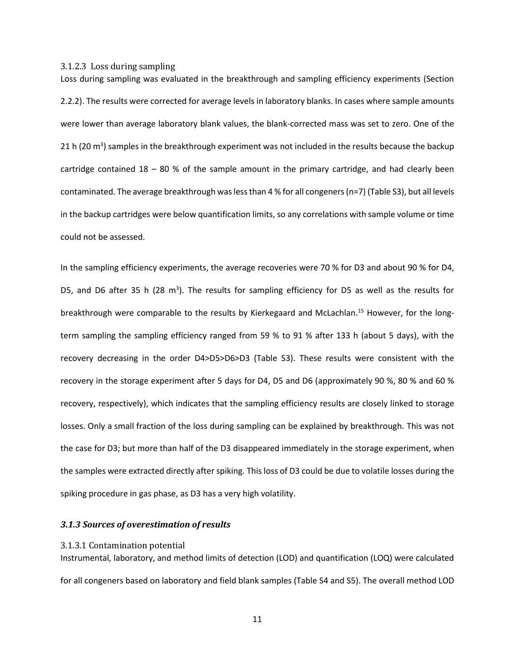3.1.2.3 Loss during sampling

Loss during sampling was evaluated in the breakthrough and sampling efficiency experiments (Section 2.2.2). The results were corrected for average levels in laboratory blanks. In cases where sample amounts were lower than average laboratory blank values, the blank-corrected mass was set to zero. One of the 21 h (20 m<sup>3</sup>) samples in the breakthrough experiment was not included in the results because the backup cartridge contained  $18 - 80$  % of the sample amount in the primary cartridge, and had clearly been contaminated. The average breakthrough was less than 4 % for all congeners(n=7) (Table S3), but all levels in the backup cartridges were below quantification limits, so any correlations with sample volume or time could not be assessed.

In the sampling efficiency experiments, the average recoveries were 70 % for D3 and about 90 % for D4, D5, and D6 after 35 h (28 m<sup>3</sup>). The results for sampling efficiency for D5 as well as the results for breakthrough were comparable to the results by Kierkegaard and McLachlan.<sup>15</sup> However, for the longterm sampling the sampling efficiency ranged from 59 % to 91 % after 133 h (about 5 days), with the recovery decreasing in the order D4>D5>D6>D3 (Table S3). These results were consistent with the recovery in the storage experiment after 5 days for D4, D5 and D6 (approximately 90 %, 80 % and 60 % recovery, respectively), which indicates that the sampling efficiency results are closely linked to storage losses. Only a small fraction of the loss during sampling can be explained by breakthrough. This was not the case for D3; but more than half of the D3 disappeared immediately in the storage experiment, when the samples were extracted directly after spiking. This loss of D3 could be due to volatile losses during the spiking procedure in gas phase, as D3 has a very high volatility.

## *3.1.3 Sources of overestimation of results*

#### 3.1.3.1 Contamination potential

Instrumental, laboratory, and method limits of detection (LOD) and quantification (LOQ) were calculated for all congeners based on laboratory and field blank samples (Table S4 and S5). The overall method LOD

11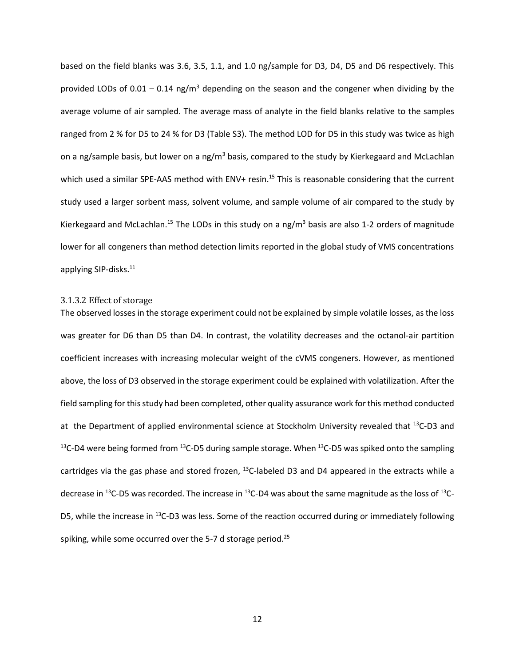based on the field blanks was 3.6, 3.5, 1.1, and 1.0 ng/sample for D3, D4, D5 and D6 respectively. This provided LODs of  $0.01 - 0.14$  ng/m<sup>3</sup> depending on the season and the congener when dividing by the average volume of air sampled. The average mass of analyte in the field blanks relative to the samples ranged from 2 % for D5 to 24 % for D3 (Table S3). The method LOD for D5 in this study was twice as high on a ng/sample basis, but lower on a ng/m<sup>3</sup> basis, compared to the study by Kierkegaard and McLachlan which used a similar SPE-AAS method with ENV+ resin.<sup>15</sup> This is reasonable considering that the current study used a larger sorbent mass, solvent volume, and sample volume of air compared to the study by Kierkegaard and McLachlan.<sup>15</sup> The LODs in this study on a ng/m<sup>3</sup> basis are also 1-2 orders of magnitude lower for all congeners than method detection limits reported in the global study of VMS concentrations applying SIP-disks. 11

## 3.1.3.2 Effect of storage

The observed losses in the storage experiment could not be explained by simple volatile losses, as the loss was greater for D6 than D5 than D4. In contrast, the volatility decreases and the octanol-air partition coefficient increases with increasing molecular weight of the cVMS congeners. However, as mentioned above, the loss of D3 observed in the storage experiment could be explained with volatilization. After the field sampling for this study had been completed, other quality assurance work for this method conducted at the Department of applied environmental science at Stockholm University revealed that <sup>13</sup>C-D3 and <sup>13</sup>C-D4 were being formed from <sup>13</sup>C-D5 during sample storage. When <sup>13</sup>C-D5 was spiked onto the sampling cartridges via the gas phase and stored frozen, <sup>13</sup>C-labeled D3 and D4 appeared in the extracts while a decrease in <sup>13</sup>C-D5 was recorded. The increase in <sup>13</sup>C-D4 was about the same magnitude as the loss of <sup>13</sup>C-D5, while the increase in  $^{13}$ C-D3 was less. Some of the reaction occurred during or immediately following spiking, while some occurred over the 5-7 d storage period.<sup>25</sup>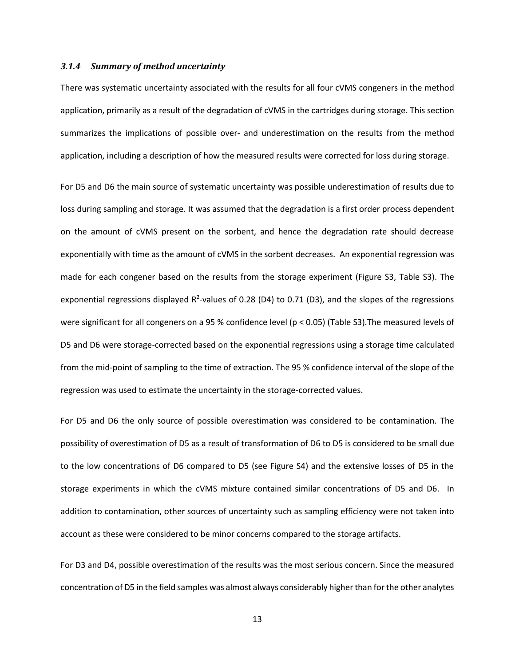#### *3.1.4 Summary of method uncertainty*

There was systematic uncertainty associated with the results for all four cVMS congeners in the method application, primarily as a result of the degradation of cVMS in the cartridges during storage. This section summarizes the implications of possible over- and underestimation on the results from the method application, including a description of how the measured results were corrected for loss during storage.

For D5 and D6 the main source of systematic uncertainty was possible underestimation of results due to loss during sampling and storage. It was assumed that the degradation is a first order process dependent on the amount of cVMS present on the sorbent, and hence the degradation rate should decrease exponentially with time as the amount of cVMS in the sorbent decreases. An exponential regression was made for each congener based on the results from the storage experiment (Figure S3, Table S3). The exponential regressions displayed  $R^2$ -values of 0.28 (D4) to 0.71 (D3), and the slopes of the regressions were significant for all congeners on a 95 % confidence level (p < 0.05) (Table S3).The measured levels of D5 and D6 were storage-corrected based on the exponential regressions using a storage time calculated from the mid-point of sampling to the time of extraction. The 95 % confidence interval of the slope of the regression was used to estimate the uncertainty in the storage-corrected values.

For D5 and D6 the only source of possible overestimation was considered to be contamination. The possibility of overestimation of D5 as a result of transformation of D6 to D5 is considered to be small due to the low concentrations of D6 compared to D5 (see Figure S4) and the extensive losses of D5 in the storage experiments in which the cVMS mixture contained similar concentrations of D5 and D6. In addition to contamination, other sources of uncertainty such as sampling efficiency were not taken into account as these were considered to be minor concerns compared to the storage artifacts.

For D3 and D4, possible overestimation of the results was the most serious concern. Since the measured concentration of D5 in the field samples was almost always considerably higher than for the other analytes

13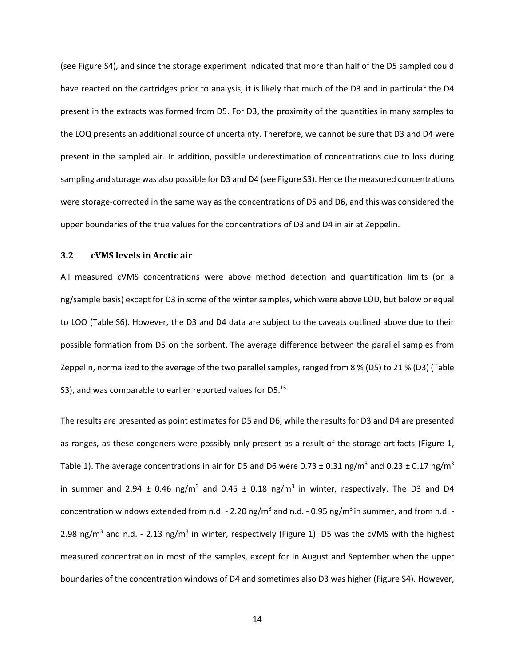(see Figure S4), and since the storage experiment indicated that more than half of the D5 sampled could have reacted on the cartridges prior to analysis, it is likely that much of the D3 and in particular the D4 present in the extracts was formed from D5. For D3, the proximity of the quantities in many samples to the LOQ presents an additional source of uncertainty. Therefore, we cannot be sure that D3 and D4 were present in the sampled air. In addition, possible underestimation of concentrations due to loss during sampling and storage was also possible for D3 and D4 (see Figure S3). Hence the measured concentrations were storage-corrected in the same way as the concentrations of D5 and D6, and this was considered the upper boundaries of the true values for the concentrations of D3 and D4 in air at Zeppelin.

## **3.2 cVMS levels in Arctic air**

All measured cVMS concentrations were above method detection and quantification limits (on a ng/sample basis) except for D3 in some of the winter samples, which were above LOD, but below or equal to LOQ (Table S6). However, the D3 and D4 data are subject to the caveats outlined above due to their possible formation from D5 on the sorbent. The average difference between the parallel samples from Zeppelin, normalized to the average of the two parallel samples, ranged from 8 % (D5) to 21 % (D3) (Table S3), and was comparable to earlier reported values for D5.<sup>15</sup>

The results are presented as point estimates for D5 and D6, while the results for D3 and D4 are presented as ranges, as these congeners were possibly only present as a result of the storage artifacts (Figure 1, Table 1). The average concentrations in air for D5 and D6 were 0.73  $\pm$  0.31 ng/m<sup>3</sup> and 0.23  $\pm$  0.17 ng/m<sup>3</sup> in summer and 2.94  $\pm$  0.46 ng/m<sup>3</sup> and 0.45  $\pm$  0.18 ng/m<sup>3</sup> in winter, respectively. The D3 and D4 concentration windows extended from n.d. - 2.20 ng/m<sup>3</sup> and n.d. - 0.95 ng/m<sup>3</sup> in summer, and from n.d. -2.98 ng/m<sup>3</sup> and n.d. - 2.13 ng/m<sup>3</sup> in winter, respectively (Figure 1). D5 was the cVMS with the highest measured concentration in most of the samples, except for in August and September when the upper boundaries of the concentration windows of D4 and sometimes also D3 was higher (Figure S4). However,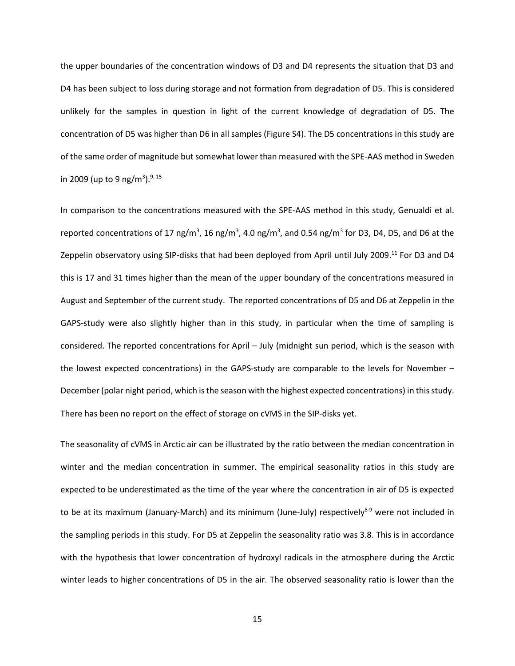the upper boundaries of the concentration windows of D3 and D4 represents the situation that D3 and D4 has been subject to loss during storage and not formation from degradation of D5. This is considered unlikely for the samples in question in light of the current knowledge of degradation of D5. The concentration of D5 was higher than D6 in all samples (Figure S4). The D5 concentrations in this study are of the same order of magnitude but somewhat lower than measured with the SPE-AAS method in Sweden in 2009 (up to 9 ng/m<sup>3</sup>).<sup>9, 15</sup>

In comparison to the concentrations measured with the SPE-AAS method in this study, Genualdi et al. reported concentrations of 17 ng/m<sup>3</sup>, 16 ng/m<sup>3</sup>, 4.0 ng/m<sup>3</sup>, and 0.54 ng/m<sup>3</sup> for D3, D4, D5, and D6 at the Zeppelin observatory using SIP-disks that had been deployed from April until July 2009.<sup>11</sup> For D3 and D4 this is 17 and 31 times higher than the mean of the upper boundary of the concentrations measured in August and September of the current study. The reported concentrations of D5 and D6 at Zeppelin in the GAPS-study were also slightly higher than in this study, in particular when the time of sampling is considered. The reported concentrations for April – July (midnight sun period, which is the season with the lowest expected concentrations) in the GAPS-study are comparable to the levels for November – December (polar night period, which is the season with the highest expected concentrations) in this study. There has been no report on the effect of storage on cVMS in the SIP-disks yet.

The seasonality of cVMS in Arctic air can be illustrated by the ratio between the median concentration in winter and the median concentration in summer. The empirical seasonality ratios in this study are expected to be underestimated as the time of the year where the concentration in air of D5 is expected to be at its maximum (January-March) and its minimum (June-July) respectively<sup>8-9</sup> were not included in the sampling periods in this study. For D5 at Zeppelin the seasonality ratio was 3.8. This is in accordance with the hypothesis that lower concentration of hydroxyl radicals in the atmosphere during the Arctic winter leads to higher concentrations of D5 in the air. The observed seasonality ratio is lower than the

15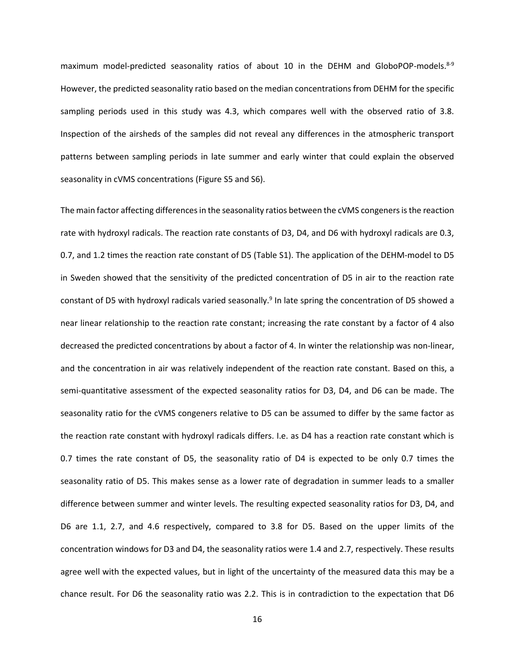maximum model-predicted seasonality ratios of about 10 in the DEHM and GloboPOP-models.<sup>8-9</sup> However, the predicted seasonality ratio based on the median concentrations from DEHM for the specific sampling periods used in this study was 4.3, which compares well with the observed ratio of 3.8. Inspection of the airsheds of the samples did not reveal any differences in the atmospheric transport patterns between sampling periods in late summer and early winter that could explain the observed seasonality in cVMS concentrations (Figure S5 and S6).

The main factor affecting differences in the seasonality ratios between the cVMS congeners is the reaction rate with hydroxyl radicals. The reaction rate constants of D3, D4, and D6 with hydroxyl radicals are 0.3, 0.7, and 1.2 times the reaction rate constant of D5 (Table S1). The application of the DEHM-model to D5 in Sweden showed that the sensitivity of the predicted concentration of D5 in air to the reaction rate constant of D5 with hydroxyl radicals varied seasonally.<sup>9</sup> In late spring the concentration of D5 showed a near linear relationship to the reaction rate constant; increasing the rate constant by a factor of 4 also decreased the predicted concentrations by about a factor of 4. In winter the relationship was non-linear, and the concentration in air was relatively independent of the reaction rate constant. Based on this, a semi-quantitative assessment of the expected seasonality ratios for D3, D4, and D6 can be made. The seasonality ratio for the cVMS congeners relative to D5 can be assumed to differ by the same factor as the reaction rate constant with hydroxyl radicals differs. I.e. as D4 has a reaction rate constant which is 0.7 times the rate constant of D5, the seasonality ratio of D4 is expected to be only 0.7 times the seasonality ratio of D5. This makes sense as a lower rate of degradation in summer leads to a smaller difference between summer and winter levels. The resulting expected seasonality ratios for D3, D4, and D6 are 1.1, 2.7, and 4.6 respectively, compared to 3.8 for D5. Based on the upper limits of the concentration windows for D3 and D4, the seasonality ratios were 1.4 and 2.7, respectively. These results agree well with the expected values, but in light of the uncertainty of the measured data this may be a chance result. For D6 the seasonality ratio was 2.2. This is in contradiction to the expectation that D6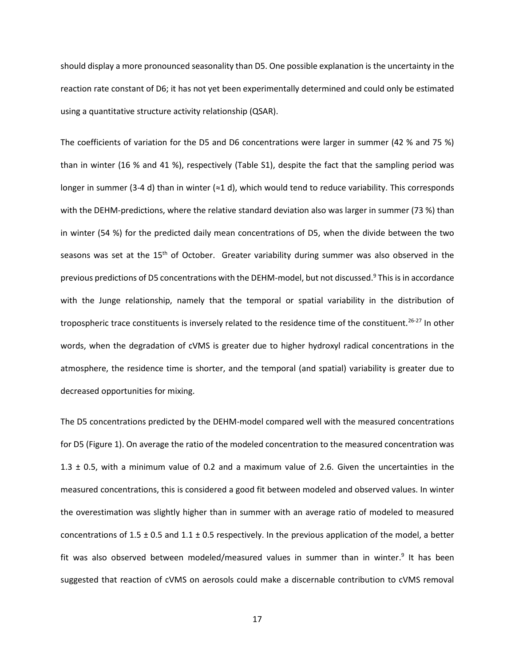should display a more pronounced seasonality than D5. One possible explanation is the uncertainty in the reaction rate constant of D6; it has not yet been experimentally determined and could only be estimated using a quantitative structure activity relationship (QSAR).

The coefficients of variation for the D5 and D6 concentrations were larger in summer (42 % and 75 %) than in winter (16 % and 41 %), respectively (Table S1), despite the fact that the sampling period was longer in summer (3-4 d) than in winter (≈1 d), which would tend to reduce variability. This corresponds with the DEHM-predictions, where the relative standard deviation also was larger in summer (73 %) than in winter (54 %) for the predicted daily mean concentrations of D5, when the divide between the two seasons was set at the 15<sup>th</sup> of October. Greater variability during summer was also observed in the previous predictions of D5 concentrations with the DEHM-model, but not discussed. <sup>9</sup> This is in accordance with the Junge relationship, namely that the temporal or spatial variability in the distribution of tropospheric trace constituents is inversely related to the residence time of the constituent.<sup>26-27</sup> In other words, when the degradation of cVMS is greater due to higher hydroxyl radical concentrations in the atmosphere, the residence time is shorter, and the temporal (and spatial) variability is greater due to decreased opportunities for mixing.

The D5 concentrations predicted by the DEHM-model compared well with the measured concentrations for D5 (Figure 1). On average the ratio of the modeled concentration to the measured concentration was 1.3 ± 0.5, with a minimum value of 0.2 and a maximum value of 2.6. Given the uncertainties in the measured concentrations, this is considered a good fit between modeled and observed values. In winter the overestimation was slightly higher than in summer with an average ratio of modeled to measured concentrations of 1.5  $\pm$  0.5 and 1.1  $\pm$  0.5 respectively. In the previous application of the model, a better fit was also observed between modeled/measured values in summer than in winter.<sup>9</sup> It has been suggested that reaction of cVMS on aerosols could make a discernable contribution to cVMS removal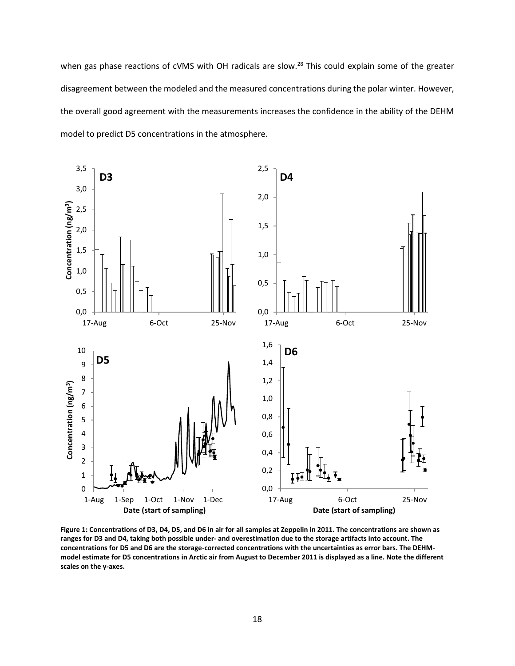when gas phase reactions of cVMS with OH radicals are slow.<sup>28</sup> This could explain some of the greater disagreement between the modeled and the measured concentrations during the polar winter. However, the overall good agreement with the measurements increases the confidence in the ability of the DEHM model to predict D5 concentrations in the atmosphere.



**Figure 1: Concentrations of D3, D4, D5, and D6 in air for all samples at Zeppelin in 2011. The concentrations are shown as ranges for D3 and D4, taking both possible under- and overestimation due to the storage artifacts into account. The concentrations for D5 and D6 are the storage-corrected concentrations with the uncertainties as error bars. The DEHMmodel estimate for D5 concentrations in Arctic air from August to December 2011 is displayed as a line. Note the different scales on the y-axes.**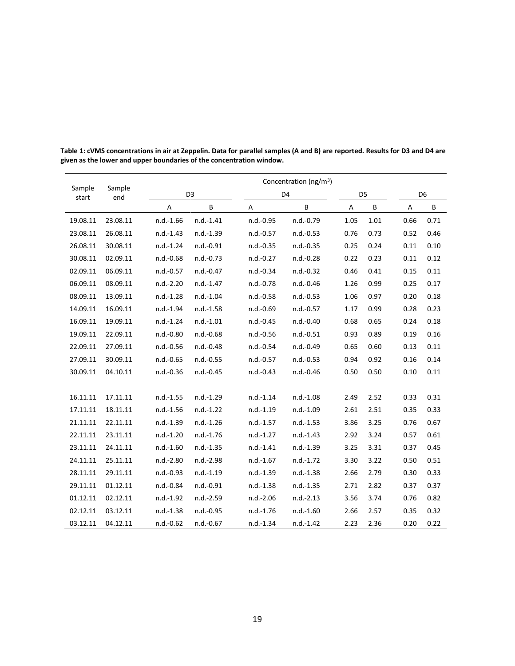|                 | Sample<br>end | Concentration (ng/m <sup>3</sup> ) |             |             |             |      |                |      |                |
|-----------------|---------------|------------------------------------|-------------|-------------|-------------|------|----------------|------|----------------|
| Sample<br>start |               | D <sub>3</sub>                     |             |             | D4          |      | D <sub>5</sub> |      | D <sub>6</sub> |
|                 |               | Α                                  | B           | Α           | B           | Α    | B              | Α    | B              |
| 19.08.11        | 23.08.11      | $n.d.-1.66$                        | $n.d.-1.41$ | n.d.-0.95   | n.d.-0.79   | 1.05 | 1.01           | 0.66 | 0.71           |
| 23.08.11        | 26.08.11      | $n.d.-1.43$                        | n.d.-1.39   | $n.d.-0.57$ | n.d.-0.53   | 0.76 | 0.73           | 0.52 | 0.46           |
| 26.08.11        | 30.08.11      | $n.d.-1.24$                        | n.d.-0.91   | $n.d.-0.35$ | n.d.-0.35   | 0.25 | 0.24           | 0.11 | 0.10           |
| 30.08.11        | 02.09.11      | $n.d.-0.68$                        | $n.d.-0.73$ | n.d.-0.27   | $n.d.-0.28$ | 0.22 | 0.23           | 0.11 | 0.12           |
| 02.09.11        | 06.09.11      | n.d.-0.57                          | $n.d.-0.47$ | $n.d.-0.34$ | n.d.-0.32   | 0.46 | 0.41           | 0.15 | 0.11           |
| 06.09.11        | 08.09.11      | $n.d.-2.20$                        | $n.d.-1.47$ | n.d.-0.78   | $n.d.-0.46$ | 1.26 | 0.99           | 0.25 | 0.17           |
| 08.09.11        | 13.09.11      | $n.d.-1.28$                        | $n.d.-1.04$ | $n.d.-0.58$ | n.d.-0.53   | 1.06 | 0.97           | 0.20 | 0.18           |
| 14.09.11        | 16.09.11      | n.d.-1.94                          | $n.d.-1.58$ | $n.d.-0.69$ | n.d.-0.57   | 1.17 | 0.99           | 0.28 | 0.23           |
| 16.09.11        | 19.09.11      | $n.d.-1.24$                        | $n.d.-1.01$ | $n.d.-0.45$ | $n.d.-0.40$ | 0.68 | 0.65           | 0.24 | 0.18           |
| 19.09.11        | 22.09.11      | n.d.-0.80                          | n.d.-0.68   | $n.d.-0.56$ | n.d.-0.51   | 0.93 | 0.89           | 0.19 | 0.16           |
| 22.09.11        | 27.09.11      | n.d.-0.56                          | n.d.-0.48   | $n.d.-0.54$ | n.d.-0.49   | 0.65 | 0.60           | 0.13 | 0.11           |
| 27.09.11        | 30.09.11      | $n.d.-0.65$                        | $n.d.-0.55$ | $n.d.-0.57$ | $n.d.-0.53$ | 0.94 | 0.92           | 0.16 | 0.14           |
| 30.09.11        | 04.10.11      | $n.d.-0.36$                        | n.d.-0.45   | $n.d.-0.43$ | n.d.-0.46   | 0.50 | 0.50           | 0.10 | 0.11           |
|                 |               |                                    |             |             |             |      |                |      |                |
| 16.11.11        | 17.11.11      | $n.d.-1.55$                        | $n.d.-1.29$ | $n.d.-1.14$ | $n.d.-1.08$ | 2.49 | 2.52           | 0.33 | 0.31           |
| 17.11.11        | 18.11.11      | $n.d.-1.56$                        | $n.d.-1.22$ | $n.d.-1.19$ | n.d.-1.09   | 2.61 | 2.51           | 0.35 | 0.33           |
| 21.11.11        | 22.11.11      | n.d.-1.39                          | $n.d.-1.26$ | $n.d.-1.57$ | $n.d.-1.53$ | 3.86 | 3.25           | 0.76 | 0.67           |
| 22.11.11        | 23.11.11      | $n.d.-1.20$                        | $n.d.-1.76$ | $n.d.-1.27$ | $n.d.-1.43$ | 2.92 | 3.24           | 0.57 | 0.61           |
| 23.11.11        | 24.11.11      | $n.d.-1.60$                        | n.d.-1.35   | $n.d.-1.41$ | n.d.-1.39   | 3.25 | 3.31           | 0.37 | 0.45           |
| 24.11.11        | 25.11.11      | n.d.-2.80                          | n.d.-2.98   | $n.d.-1.67$ | n.d.-1.72   | 3.30 | 3.22           | 0.50 | 0.51           |
| 28.11.11        | 29.11.11      | $n.d.-0.93$                        | $n.d.-1.19$ | $n.d.-1.39$ | $n.d.-1.38$ | 2.66 | 2.79           | 0.30 | 0.33           |
| 29.11.11        | 01.12.11      | n.d.-0.84                          | n.d.-0.91   | $n.d.-1.38$ | $n.d.-1.35$ | 2.71 | 2.82           | 0.37 | 0.37           |
| 01.12.11        | 02.12.11      | $n.d.-1.92$                        | n.d.-2.59   | $n.d.-2.06$ | $n.d.-2.13$ | 3.56 | 3.74           | 0.76 | 0.82           |
| 02.12.11        | 03.12.11      | $n.d.-1.38$                        | n.d.-0.95   | $n.d.-1.76$ | $n.d.-1.60$ | 2.66 | 2.57           | 0.35 | 0.32           |
| 03.12.11        | 04.12.11      | n.d.-0.62                          | n.d.-0.67   | $n.d.-1.34$ | $n.d.-1.42$ | 2.23 | 2.36           | 0.20 | 0.22           |

**Table 1: cVMS concentrations in air at Zeppelin. Data for parallel samples (A and B) are reported. Results for D3 and D4 are given as the lower and upper boundaries of the concentration window.**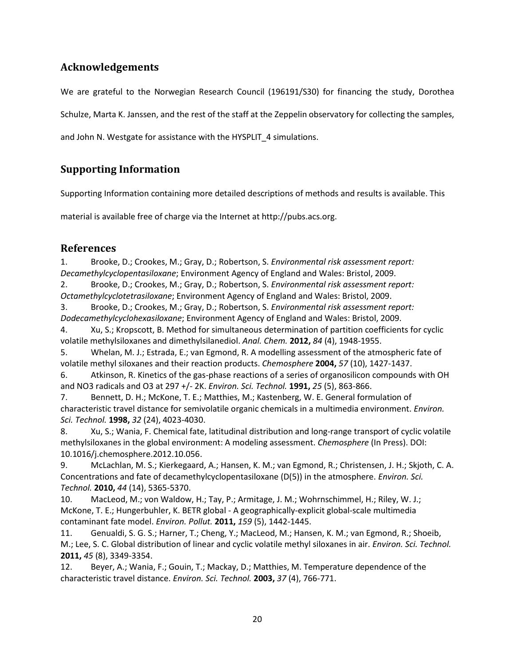# **Acknowledgements**

We are grateful to the Norwegian Research Council (196191/S30) for financing the study, Dorothea

Schulze, Marta K. Janssen, and the rest of the staff at the Zeppelin observatory for collecting the samples,

and John N. Westgate for assistance with the HYSPLIT 4 simulations.

# **Supporting Information**

Supporting Information containing more detailed descriptions of methods and results is available. This

material is available free of charge via the Internet at http://pubs.acs.org.

## **References**

1. Brooke, D.; Crookes, M.; Gray, D.; Robertson, S. *Environmental risk assessment report: Decamethylcyclopentasiloxane*; Environment Agency of England and Wales: Bristol, 2009.

2. Brooke, D.; Crookes, M.; Gray, D.; Robertson, S. *Environmental risk assessment report: Octamethylcyclotetrasiloxane*; Environment Agency of England and Wales: Bristol, 2009.

3. Brooke, D.; Crookes, M.; Gray, D.; Robertson, S. *Environmental risk assessment report: Dodecamethylcyclohexasiloxane*; Environment Agency of England and Wales: Bristol, 2009.

4. Xu, S.; Kropscott, B. Method for simultaneous determination of partition coefficients for cyclic volatile methylsiloxanes and dimethylsilanediol. *Anal. Chem.* **2012,** *84* (4), 1948-1955.

5. Whelan, M. J.; Estrada, E.; van Egmond, R. A modelling assessment of the atmospheric fate of volatile methyl siloxanes and their reaction products. *Chemosphere* **2004,** *57* (10), 1427-1437.

6. Atkinson, R. Kinetics of the gas-phase reactions of a series of organosilicon compounds with OH and NO3 radicals and O3 at 297 +/- 2K. *Environ. Sci. Technol.* **1991,** *25* (5), 863-866.

7. Bennett, D. H.; McKone, T. E.; Matthies, M.; Kastenberg, W. E. General formulation of characteristic travel distance for semivolatile organic chemicals in a multimedia environment. *Environ. Sci. Technol.* **1998,** *32* (24), 4023-4030.

8. Xu, S.; Wania, F. Chemical fate, latitudinal distribution and long-range transport of cyclic volatile methylsiloxanes in the global environment: A modeling assessment. *Chemosphere* (In Press). DOI: 10.1016/j.chemosphere.2012.10.056.

9. McLachlan, M. S.; Kierkegaard, A.; Hansen, K. M.; van Egmond, R.; Christensen, J. H.; Skjoth, C. A. Concentrations and fate of decamethylcyclopentasiloxane (D(5)) in the atmosphere. *Environ. Sci. Technol.* **2010,** *44* (14), 5365-5370.

10. MacLeod, M.; von Waldow, H.; Tay, P.; Armitage, J. M.; Wohrnschimmel, H.; Riley, W. J.; McKone, T. E.; Hungerbuhler, K. BETR global - A geographically-explicit global-scale multimedia contaminant fate model. *Environ. Pollut.* **2011,** *159* (5), 1442-1445.

11. Genualdi, S. G. S.; Harner, T.; Cheng, Y.; MacLeod, M.; Hansen, K. M.; van Egmond, R.; Shoeib, M.; Lee, S. C. Global distribution of linear and cyclic volatile methyl siloxanes in air. *Environ. Sci. Technol.*  **2011,** *45* (8), 3349-3354.

12. Beyer, A.; Wania, F.; Gouin, T.; Mackay, D.; Matthies, M. Temperature dependence of the characteristic travel distance. *Environ. Sci. Technol.* **2003,** *37* (4), 766-771.